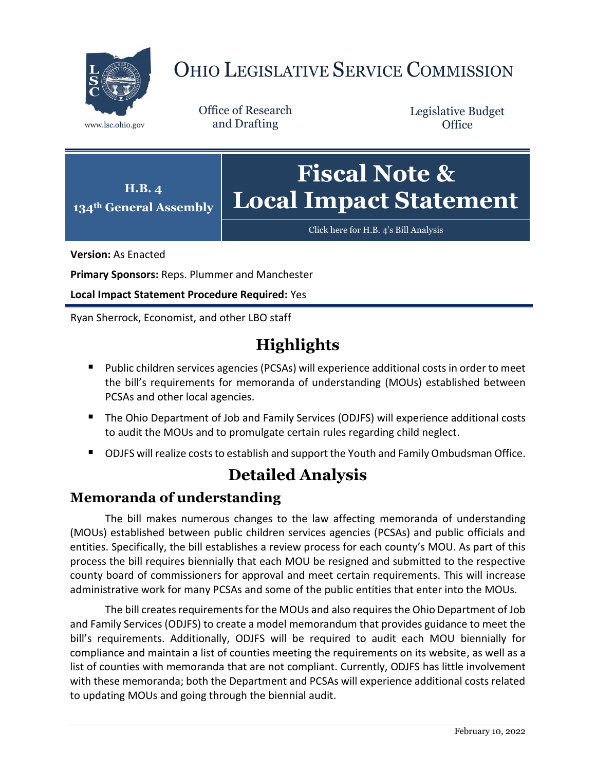

# OHIO LEGISLATIVE SERVICE COMMISSION

Office of Research www.lsc.ohio.gov and Drafting

Legislative Budget **Office** 



[Click here for H.B.](https://www.legislature.ohio.gov/legislation/legislation-documents?id=GA134-HB-4) 4's Bill Analysis

**Version:** As Enacted

**Primary Sponsors:** Reps. Plummer and Manchester

**Local Impact Statement Procedure Required:** Yes

Ryan Sherrock, Economist, and other LBO staff

## **Highlights**

- Public children services agencies (PCSAs) will experience additional costs in order to meet the bill's requirements for memoranda of understanding (MOUs) established between PCSAs and other local agencies.
- The Ohio Department of Job and Family Services (ODJFS) will experience additional costs to audit the MOUs and to promulgate certain rules regarding child neglect.
- ODJFS will realize costs to establish and support the Youth and Family Ombudsman Office.

### **Detailed Analysis**

#### **Memoranda of understanding**

The bill makes numerous changes to the law affecting memoranda of understanding (MOUs) established between public children services agencies (PCSAs) and public officials and entities. Specifically, the bill establishes a review process for each county's MOU. As part of this process the bill requires biennially that each MOU be resigned and submitted to the respective county board of commissioners for approval and meet certain requirements. This will increase administrative work for many PCSAs and some of the public entities that enter into the MOUs.

The bill creates requirements for the MOUs and also requires the Ohio Department of Job and Family Services (ODJFS) to create a model memorandum that provides guidance to meet the bill's requirements. Additionally, ODJFS will be required to audit each MOU biennially for compliance and maintain a list of counties meeting the requirements on its website, as well as a list of counties with memoranda that are not compliant. Currently, ODJFS has little involvement with these memoranda; both the Department and PCSAs will experience additional costs related to updating MOUs and going through the biennial audit.